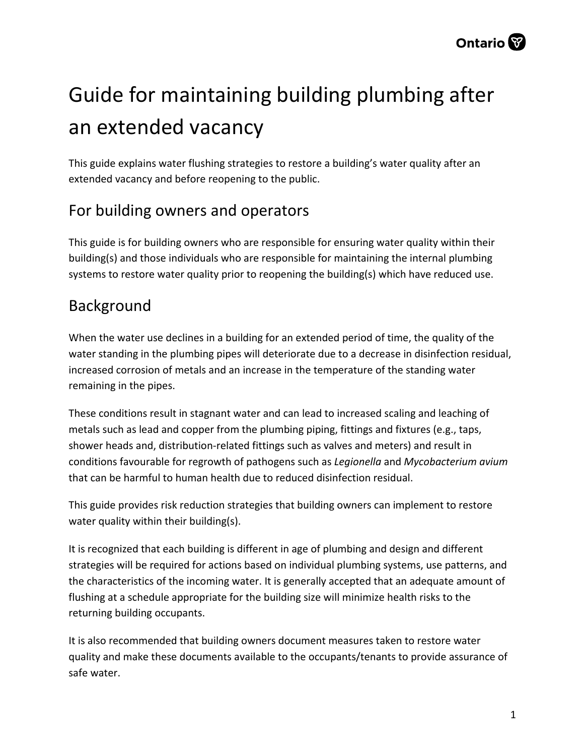# Guide for maintaining building plumbing after an extended vacancy

This guide explains water flushing strategies to restore a building's water quality after an extended vacancy and before reopening to the public.

### For building owners and operators

This guide is for building owners who are responsible for ensuring water quality within their building(s) and those individuals who are responsible for maintaining the internal plumbing systems to restore water quality prior to reopening the building(s) which have reduced use.

### Background

When the water use declines in a building for an extended period of time, the quality of the water standing in the plumbing pipes will deteriorate due to a decrease in disinfection residual, increased corrosion of metals and an increase in the temperature of the standing water remaining in the pipes.

These conditions result in stagnant water and can lead to increased scaling and leaching of metals such as lead and copper from the plumbing piping, fittings and fixtures (e.g., taps, shower heads and, distribution-related fittings such as valves and meters) and result in conditions favourable for regrowth of pathogens such as *Legionella* and *Mycobacterium avium*  that can be harmful to human health due to reduced disinfection residual.

This guide provides risk reduction strategies that building owners can implement to restore water quality within their building(s).

It is recognized that each building is different in age of plumbing and design and different strategies will be required for actions based on individual plumbing systems, use patterns, and the characteristics of the incoming water. It is generally accepted that an adequate amount of flushing at a schedule appropriate for the building size will minimize health risks to the returning building occupants.

It is also recommended that building owners document measures taken to restore water quality and make these documents available to the occupants/tenants to provide assurance of safe water.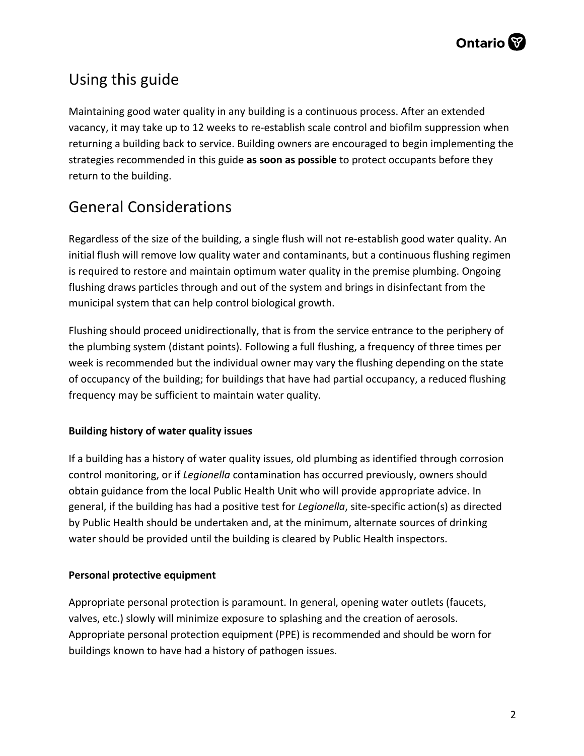

### Using this guide

Maintaining good water quality in any building is a continuous process. After an extended vacancy, it may take up to 12 weeks to re-establish scale control and biofilm suppression when returning a building back to service. Building owners are encouraged to begin implementing the strategies recommended in this guide **as soon as possible** to protect occupants before they return to the building.

### General Considerations

Regardless of the size of the building, a single flush will not re-establish good water quality. An initial flush will remove low quality water and contaminants, but a continuous flushing regimen is required to restore and maintain optimum water quality in the premise plumbing. Ongoing flushing draws particles through and out of the system and brings in disinfectant from the municipal system that can help control biological growth.

Flushing should proceed unidirectionally, that is from the service entrance to the periphery of the plumbing system (distant points). Following a full flushing, a frequency of three times per week is recommended but the individual owner may vary the flushing depending on the state of occupancy of the building; for buildings that have had partial occupancy, a reduced flushing frequency may be sufficient to maintain water quality.

#### **Building history of water quality issues**

If a building has a history of water quality issues, old plumbing as identified through corrosion control monitoring, or if *Legionella* contamination has occurred previously, owners should obtain guidance from the local Public Health Unit who will provide appropriate advice. In general, if the building has had a positive test for *Legionella*, site-specific action(s) as directed by Public Health should be undertaken and, at the minimum, alternate sources of drinking water should be provided until the building is cleared by Public Health inspectors.

#### **Personal protective equipment**

Appropriate personal protection is paramount. In general, opening water outlets (faucets, valves, etc.) slowly will minimize exposure to splashing and the creation of aerosols. Appropriate personal protection equipment (PPE) is recommended and should be worn for buildings known to have had a history of pathogen issues.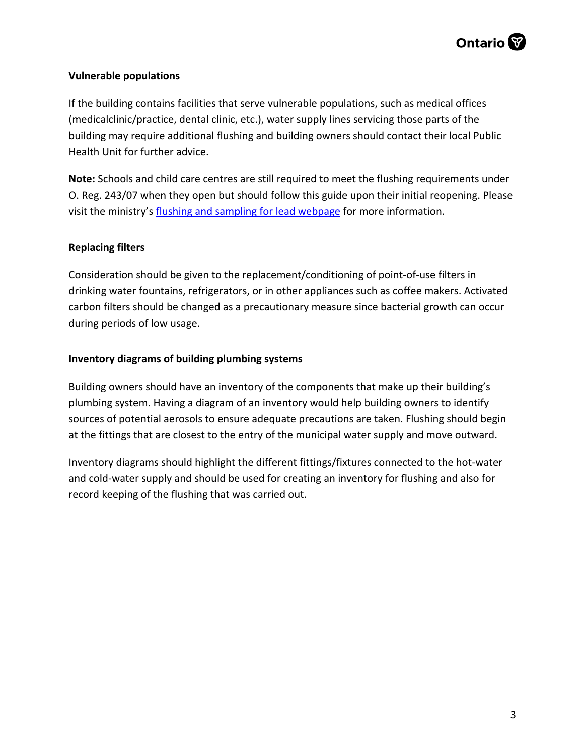#### **Vulnerable populations**

If the building contains facilities that serve vulnerable populations, such as medical offices (medicalclinic/practice, dental clinic, etc.), water supply lines servicing those parts of the building may require additional flushing and building owners should contact their local Public Health Unit for further advice.

**Note:** Schools and child care centres are still required to meet the flushing requirements under O. Reg. 243/07 when they open but should follow this guide upon their initial reopening. Please visit the ministry's [flushing and sampling for lead webpage](https://www.ontario.ca/page/flushing-and-sampling-lead) for more information.

#### **Replacing filters**

Consideration should be given to the replacement/conditioning of point-of-use filters in drinking water fountains, refrigerators, or in other appliances such as coffee makers. Activated carbon filters should be changed as a precautionary measure since bacterial growth can occur during periods of low usage.

#### **Inventory diagrams of building plumbing systems**

Building owners should have an inventory of the components that make up their building's plumbing system. Having a diagram of an inventory would help building owners to identify sources of potential aerosols to ensure adequate precautions are taken. Flushing should begin at the fittings that are closest to the entry of the municipal water supply and move outward.

Inventory diagrams should highlight the different fittings/fixtures connected to the hot-water and cold-water supply and should be used for creating an inventory for flushing and also for record keeping of the flushing that was carried out.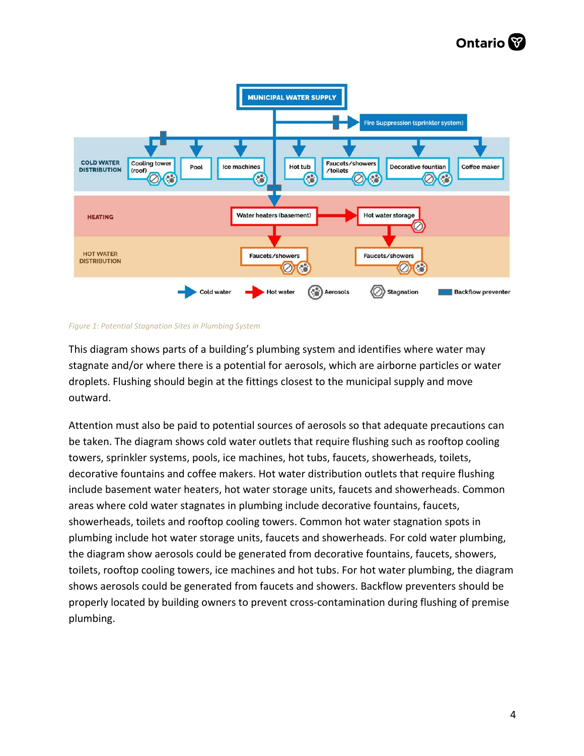## **Ontario**<sup></sup>



*Figure 1: Potential Stagnation Sites in Plumbing System* 

This diagram shows parts of a building's plumbing system and identifies where water may stagnate and/or where there is a potential for aerosols, which are airborne particles or water droplets. Flushing should begin at the fittings closest to the municipal supply and move outward.

Attention must also be paid to potential sources of aerosols so that adequate precautions can be taken. The diagram shows cold water outlets that require flushing such as rooftop cooling towers, sprinkler systems, pools, ice machines, hot tubs, faucets, showerheads, toilets, decorative fountains and coffee makers. Hot water distribution outlets that require flushing include basement water heaters, hot water storage units, faucets and showerheads. Common areas where cold water stagnates in plumbing include decorative fountains, faucets, showerheads, toilets and rooftop cooling towers. Common hot water stagnation spots in plumbing include hot water storage units, faucets and showerheads. For cold water plumbing, the diagram show aerosols could be generated from decorative fountains, faucets, showers, toilets, rooftop cooling towers, ice machines and hot tubs. For hot water plumbing, the diagram shows aerosols could be generated from faucets and showers. Backflow preventers should be properly located by building owners to prevent cross-contamination during flushing of premise plumbing.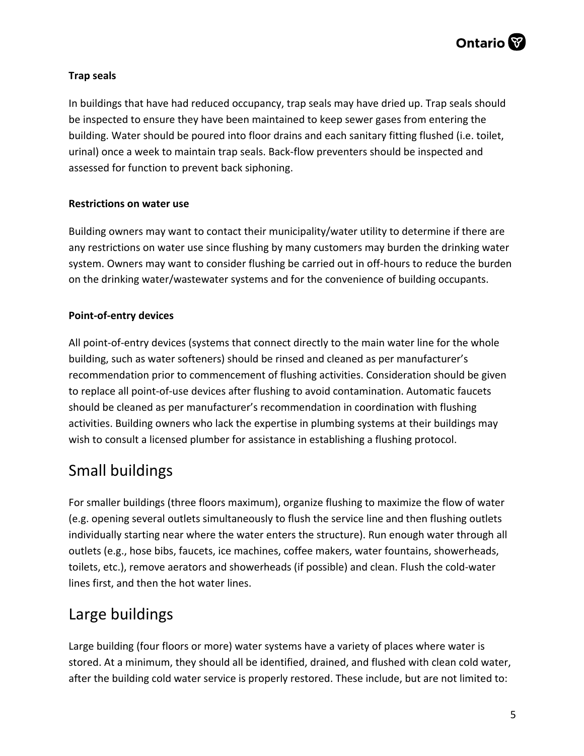#### **Trap seals**

In buildings that have had reduced occupancy, trap seals may have dried up. Trap seals should be inspected to ensure they have been maintained to keep sewer gases from entering the building. Water should be poured into floor drains and each sanitary fitting flushed (i.e. toilet, urinal) once a week to maintain trap seals. Back-flow preventers should be inspected and assessed for function to prevent back siphoning.

#### **Restrictions on water use**

Building owners may want to contact their municipality/water utility to determine if there are any restrictions on water use since flushing by many customers may burden the drinking water system. Owners may want to consider flushing be carried out in off-hours to reduce the burden on the drinking water/wastewater systems and for the convenience of building occupants.

#### **Point-of-entry devices**

All point-of-entry devices (systems that connect directly to the main water line for the whole building, such as water softeners) should be rinsed and cleaned as per manufacturer's recommendation prior to commencement of flushing activities. Consideration should be given to replace all point-of-use devices after flushing to avoid contamination. Automatic faucets should be cleaned as per manufacturer's recommendation in coordination with flushing activities. Building owners who lack the expertise in plumbing systems at their buildings may wish to consult a licensed plumber for assistance in establishing a flushing protocol.

### Small buildings

For smaller buildings (three floors maximum), organize flushing to maximize the flow of water (e.g. opening several outlets simultaneously to flush the service line and then flushing outlets individually starting near where the water enters the structure). Run enough water through all outlets (e.g., hose bibs, faucets, ice machines, coffee makers, water fountains, showerheads, toilets, etc.), remove aerators and showerheads (if possible) and clean. Flush the cold-water lines first, and then the hot water lines.

### Large buildings

Large building (four floors or more) water systems have a variety of places where water is stored. At a minimum, they should all be identified, drained, and flushed with clean cold water, after the building cold water service is properly restored. These include, but are not limited to: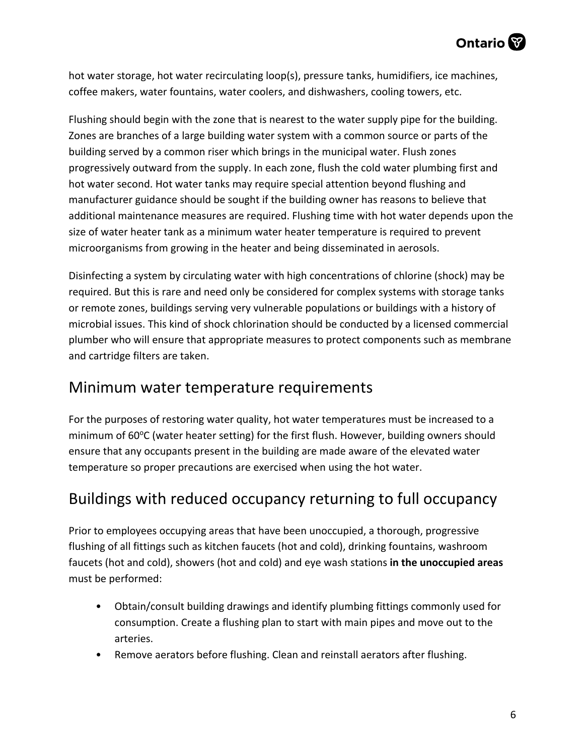hot water storage, hot water recirculating loop(s), pressure tanks, humidifiers, ice machines, coffee makers, water fountains, water coolers, and dishwashers, cooling towers, etc.

Flushing should begin with the zone that is nearest to the water supply pipe for the building. Zones are branches of a large building water system with a common source or parts of the building served by a common riser which brings in the municipal water. Flush zones progressively outward from the supply. In each zone, flush the cold water plumbing first and hot water second. Hot water tanks may require special attention beyond flushing and manufacturer guidance should be sought if the building owner has reasons to believe that additional maintenance measures are required. Flushing time with hot water depends upon the size of water heater tank as a minimum water heater temperature is required to prevent microorganisms from growing in the heater and being disseminated in aerosols.

Disinfecting a system by circulating water with high concentrations of chlorine (shock) may be required. But this is rare and need only be considered for complex systems with storage tanks or remote zones, buildings serving very vulnerable populations or buildings with a history of microbial issues. This kind of shock chlorination should be conducted by a licensed commercial plumber who will ensure that appropriate measures to protect components such as membrane and cartridge filters are taken.

### Minimum water temperature requirements

For the purposes of restoring water quality, hot water temperatures must be increased to a minimum of 60°C (water heater setting) for the first flush. However, building owners should ensure that any occupants present in the building are made aware of the elevated water temperature so proper precautions are exercised when using the hot water.

### Buildings with reduced occupancy returning to full occupancy

Prior to employees occupying areas that have been unoccupied, a thorough, progressive flushing of all fittings such as kitchen faucets (hot and cold), drinking fountains, washroom faucets (hot and cold), showers (hot and cold) and eye wash stations **in the unoccupied areas**  must be performed:

- Obtain/consult building drawings and identify plumbing fittings commonly used for consumption. Create a flushing plan to start with main pipes and move out to the arteries.
- Remove aerators before flushing. Clean and reinstall aerators after flushing.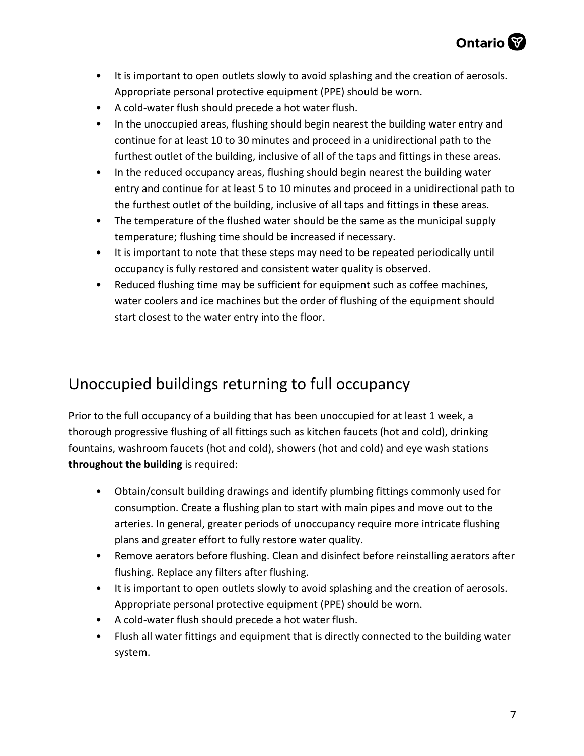- It is important to open outlets slowly to avoid splashing and the creation of aerosols. Appropriate personal protective equipment (PPE) should be worn.
- A cold-water flush should precede a hot water flush.
- In the unoccupied areas, flushing should begin nearest the building water entry and continue for at least 10 to 30 minutes and proceed in a unidirectional path to the furthest outlet of the building, inclusive of all of the taps and fittings in these areas.
- In the reduced occupancy areas, flushing should begin nearest the building water entry and continue for at least 5 to 10 minutes and proceed in a unidirectional path to the furthest outlet of the building, inclusive of all taps and fittings in these areas.
- The temperature of the flushed water should be the same as the municipal supply temperature; flushing time should be increased if necessary.
- It is important to note that these steps may need to be repeated periodically until occupancy is fully restored and consistent water quality is observed.
- Reduced flushing time may be sufficient for equipment such as coffee machines, water coolers and ice machines but the order of flushing of the equipment should start closest to the water entry into the floor.

### Unoccupied buildings returning to full occupancy

Prior to the full occupancy of a building that has been unoccupied for at least 1 week, a thorough progressive flushing of all fittings such as kitchen faucets (hot and cold), drinking fountains, washroom faucets (hot and cold), showers (hot and cold) and eye wash stations **throughout the building** is required:

- Obtain/consult building drawings and identify plumbing fittings commonly used for consumption. Create a flushing plan to start with main pipes and move out to the arteries. In general, greater periods of unoccupancy require more intricate flushing plans and greater effort to fully restore water quality.
- Remove aerators before flushing. Clean and disinfect before reinstalling aerators after flushing. Replace any filters after flushing.
- It is important to open outlets slowly to avoid splashing and the creation of aerosols. Appropriate personal protective equipment (PPE) should be worn.
- A cold-water flush should precede a hot water flush.
- Flush all water fittings and equipment that is directly connected to the building water system.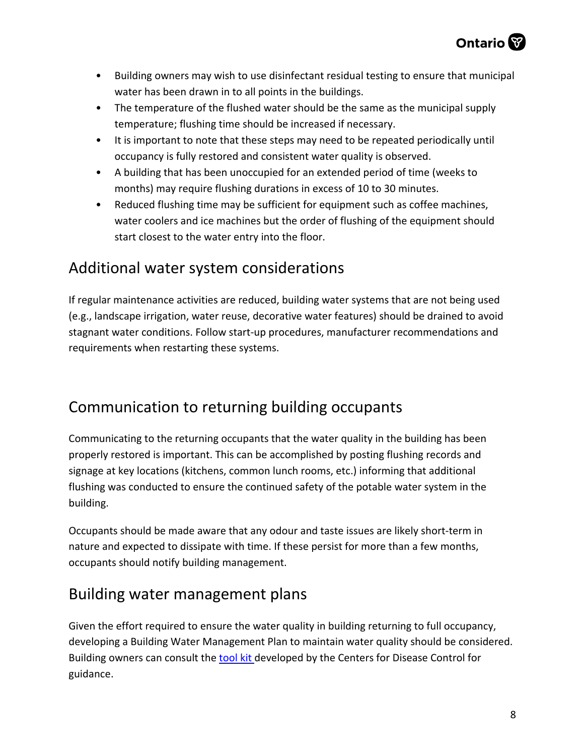

- Building owners may wish to use disinfectant residual testing to ensure that municipal water has been drawn in to all points in the buildings.
- The temperature of the flushed water should be the same as the municipal supply temperature; flushing time should be increased if necessary.
- It is important to note that these steps may need to be repeated periodically until occupancy is fully restored and consistent water quality is observed.
- A building that has been unoccupied for an extended period of time (weeks to months) may require flushing durations in excess of 10 to 30 minutes.
- Reduced flushing time may be sufficient for equipment such as coffee machines, water coolers and ice machines but the order of flushing of the equipment should start closest to the water entry into the floor.

### Additional water system considerations

If regular maintenance activities are reduced, building water systems that are not being used (e.g., landscape irrigation, water reuse, decorative water features) should be drained to avoid stagnant water conditions. Follow start-up procedures, manufacturer recommendations and requirements when restarting these systems.

### Communication to returning building occupants

Communicating to the returning occupants that the water quality in the building has been properly restored is important. This can be accomplished by posting flushing records and signage at key locations (kitchens, common lunch rooms, etc.) informing that additional flushing was conducted to ensure the continued safety of the potable water system in the building.

Occupants should be made aware that any odour and taste issues are likely short-term in nature and expected to dissipate with time. If these persist for more than a few months, occupants should notify building management.

# Building water management plans

Given the effort required to ensure the water quality in building returning to full occupancy, developing a Building Water Management Plan to maintain water quality should be considered. Building owners can consult the [tool kit](https://www.cdc.gov/legionella/wmp/toolkit/index.html?CDC_AA_refVal=https%3A%2F%2Fwww.cdc.gov%2Flegionella%2Fmaintenance%2Fwmp-toolkit.html) developed by the Centers for Disease Control for guidance.